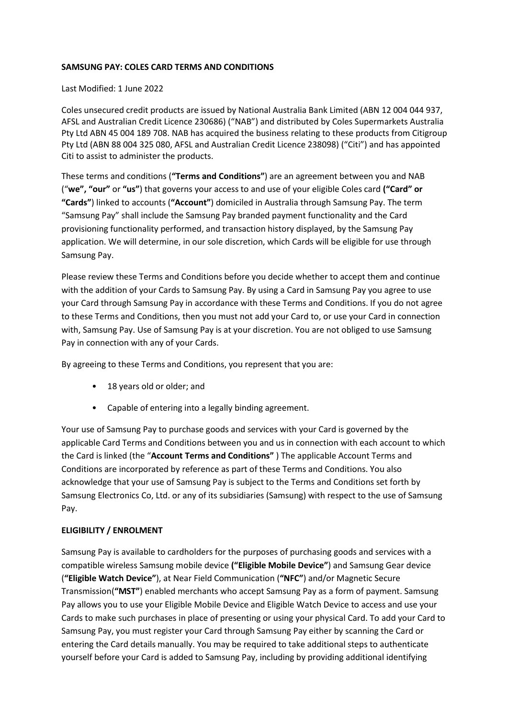## **SAMSUNG PAY: COLES CARD TERMS AND CONDITIONS**

## Last Modified: 1 June 2022

Coles unsecured credit products are issued by National Australia Bank Limited (ABN 12 004 044 937, AFSL and Australian Credit Licence 230686) ("NAB") and distributed by Coles Supermarkets Australia Pty Ltd ABN 45 004 189 708. NAB has acquired the business relating to these products from Citigroup Pty Ltd (ABN 88 004 325 080, AFSL and Australian Credit Licence 238098) ("Citi") and has appointed Citi to assist to administer the products.

These terms and conditions (**"Terms and Conditions"**) are an agreement between you and NAB ("**we", "our"** or **"us"**) that governs your access to and use of your eligible Coles card **("Card" or "Cards"**) linked to accounts (**"Account"**) domiciled in Australia through Samsung Pay. The term "Samsung Pay" shall include the Samsung Pay branded payment functionality and the Card provisioning functionality performed, and transaction history displayed, by the Samsung Pay application. We will determine, in our sole discretion, which Cards will be eligible for use through Samsung Pay.

Please review these Terms and Conditions before you decide whether to accept them and continue with the addition of your Cards to Samsung Pay. By using a Card in Samsung Pay you agree to use your Card through Samsung Pay in accordance with these Terms and Conditions. If you do not agree to these Terms and Conditions, then you must not add your Card to, or use your Card in connection with, Samsung Pay. Use of Samsung Pay is at your discretion. You are not obliged to use Samsung Pay in connection with any of your Cards.

By agreeing to these Terms and Conditions, you represent that you are:

- 18 years old or older; and
- Capable of entering into a legally binding agreement.

Your use of Samsung Pay to purchase goods and services with your Card is governed by the applicable Card Terms and Conditions between you and us in connection with each account to which the Card is linked (the "**Account Terms and Conditions"** ) The applicable Account Terms and Conditions are incorporated by reference as part of these Terms and Conditions. You also acknowledge that your use of Samsung Pay is subject to the Terms and Conditions set forth by Samsung Electronics Co, Ltd. or any of its subsidiaries (Samsung) with respect to the use of Samsung Pay.

# **ELIGIBILITY / ENROLMENT**

Samsung Pay is available to cardholders for the purposes of purchasing goods and services with a compatible wireless Samsung mobile device **("Eligible Mobile Device"**) and Samsung Gear device (**"Eligible Watch Device"**), at Near Field Communication (**"NFC"**) and/or Magnetic Secure Transmission(**"MST"**) enabled merchants who accept Samsung Pay as a form of payment. Samsung Pay allows you to use your Eligible Mobile Device and Eligible Watch Device to access and use your Cards to make such purchases in place of presenting or using your physical Card. To add your Card to Samsung Pay, you must register your Card through Samsung Pay either by scanning the Card or entering the Card details manually. You may be required to take additional steps to authenticate yourself before your Card is added to Samsung Pay, including by providing additional identifying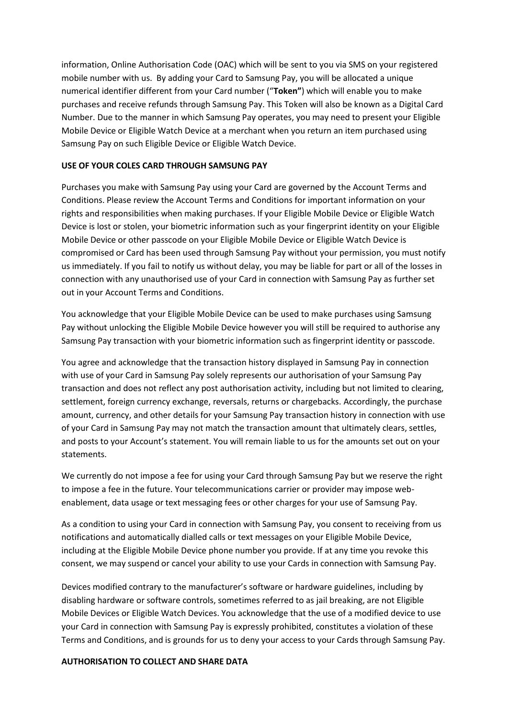information, Online Authorisation Code (OAC) which will be sent to you via SMS on your registered mobile number with us. By adding your Card to Samsung Pay, you will be allocated a unique numerical identifier different from your Card number ("**Token"**) which will enable you to make purchases and receive refunds through Samsung Pay. This Token will also be known as a Digital Card Number. Due to the manner in which Samsung Pay operates, you may need to present your Eligible Mobile Device or Eligible Watch Device at a merchant when you return an item purchased using Samsung Pay on such Eligible Device or Eligible Watch Device.

## **USE OF YOUR COLES CARD THROUGH SAMSUNG PAY**

Purchases you make with Samsung Pay using your Card are governed by the Account Terms and Conditions. Please review the Account Terms and Conditions for important information on your rights and responsibilities when making purchases. If your Eligible Mobile Device or Eligible Watch Device is lost or stolen, your biometric information such as your fingerprint identity on your Eligible Mobile Device or other passcode on your Eligible Mobile Device or Eligible Watch Device is compromised or Card has been used through Samsung Pay without your permission, you must notify us immediately. If you fail to notify us without delay, you may be liable for part or all of the losses in connection with any unauthorised use of your Card in connection with Samsung Pay as further set out in your Account Terms and Conditions.

You acknowledge that your Eligible Mobile Device can be used to make purchases using Samsung Pay without unlocking the Eligible Mobile Device however you will still be required to authorise any Samsung Pay transaction with your biometric information such as fingerprint identity or passcode.

You agree and acknowledge that the transaction history displayed in Samsung Pay in connection with use of your Card in Samsung Pay solely represents our authorisation of your Samsung Pay transaction and does not reflect any post authorisation activity, including but not limited to clearing, settlement, foreign currency exchange, reversals, returns or chargebacks. Accordingly, the purchase amount, currency, and other details for your Samsung Pay transaction history in connection with use of your Card in Samsung Pay may not match the transaction amount that ultimately clears, settles, and posts to your Account's statement. You will remain liable to us for the amounts set out on your statements.

We currently do not impose a fee for using your Card through Samsung Pay but we reserve the right to impose a fee in the future. Your telecommunications carrier or provider may impose webenablement, data usage or text messaging fees or other charges for your use of Samsung Pay.

As a condition to using your Card in connection with Samsung Pay, you consent to receiving from us notifications and automatically dialled calls or text messages on your Eligible Mobile Device, including at the Eligible Mobile Device phone number you provide. If at any time you revoke this consent, we may suspend or cancel your ability to use your Cards in connection with Samsung Pay.

Devices modified contrary to the manufacturer's software or hardware guidelines, including by disabling hardware or software controls, sometimes referred to as jail breaking, are not Eligible Mobile Devices or Eligible Watch Devices. You acknowledge that the use of a modified device to use your Card in connection with Samsung Pay is expressly prohibited, constitutes a violation of these Terms and Conditions, and is grounds for us to deny your access to your Cards through Samsung Pay.

### **AUTHORISATION TO COLLECT AND SHARE DATA**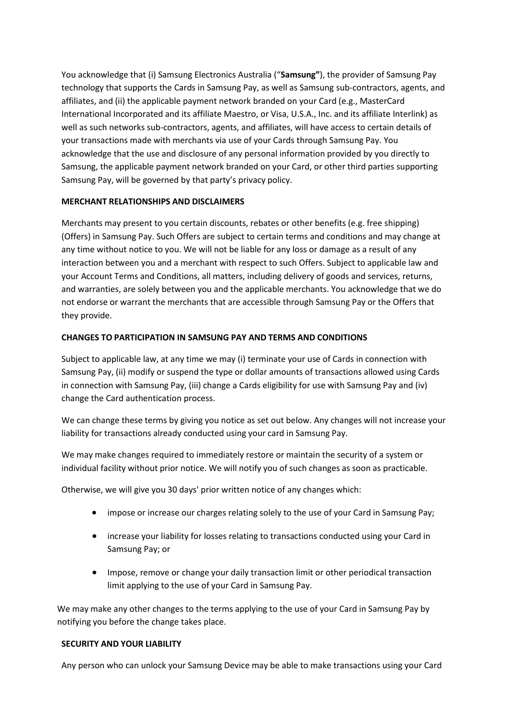You acknowledge that (i) Samsung Electronics Australia ("**Samsung"**), the provider of Samsung Pay technology that supports the Cards in Samsung Pay, as well as Samsung sub-contractors, agents, and affiliates, and (ii) the applicable payment network branded on your Card (e.g., MasterCard International Incorporated and its affiliate Maestro, or Visa, U.S.A., Inc. and its affiliate Interlink) as well as such networks sub-contractors, agents, and affiliates, will have access to certain details of your transactions made with merchants via use of your Cards through Samsung Pay. You acknowledge that the use and disclosure of any personal information provided by you directly to Samsung, the applicable payment network branded on your Card, or other third parties supporting Samsung Pay, will be governed by that party's privacy policy.

## **MERCHANT RELATIONSHIPS AND DISCLAIMERS**

Merchants may present to you certain discounts, rebates or other benefits (e.g. free shipping) (Offers) in Samsung Pay. Such Offers are subject to certain terms and conditions and may change at any time without notice to you. We will not be liable for any loss or damage as a result of any interaction between you and a merchant with respect to such Offers. Subject to applicable law and your Account Terms and Conditions, all matters, including delivery of goods and services, returns, and warranties, are solely between you and the applicable merchants. You acknowledge that we do not endorse or warrant the merchants that are accessible through Samsung Pay or the Offers that they provide.

# **CHANGES TO PARTICIPATION IN SAMSUNG PAY AND TERMS AND CONDITIONS**

Subject to applicable law, at any time we may (i) terminate your use of Cards in connection with Samsung Pay, (ii) modify or suspend the type or dollar amounts of transactions allowed using Cards in connection with Samsung Pay, (iii) change a Cards eligibility for use with Samsung Pay and (iv) change the Card authentication process.

We can change these terms by giving you notice as set out below. Any changes will not increase your liability for transactions already conducted using your card in Samsung Pay.

We may make changes required to immediately restore or maintain the security of a system or individual facility without prior notice. We will notify you of such changes as soon as practicable.

Otherwise, we will give you 30 days' prior written notice of any changes which:

- impose or increase our charges relating solely to the use of your Card in Samsung Pay;
- increase your liability for losses relating to transactions conducted using your Card in Samsung Pay; or
- Impose, remove or change your daily transaction limit or other periodical transaction limit applying to the use of your Card in Samsung Pay.

We may make any other changes to the terms applying to the use of your Card in Samsung Pay by notifying you before the change takes place.

### **SECURITY AND YOUR LIABILITY**

Any person who can unlock your Samsung Device may be able to make transactions using your Card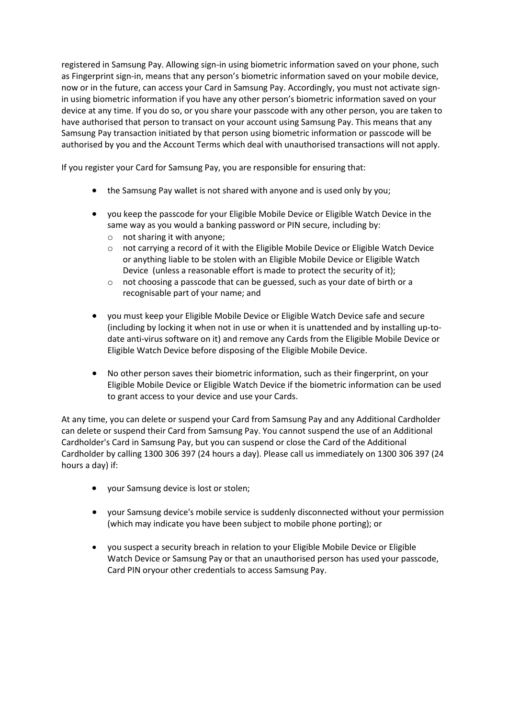registered in Samsung Pay. Allowing sign-in using biometric information saved on your phone, such as Fingerprint sign-in, means that any person's biometric information saved on your mobile device, now or in the future, can access your Card in Samsung Pay. Accordingly, you must not activate signin using biometric information if you have any other person's biometric information saved on your device at any time. If you do so, or you share your passcode with any other person, you are taken to have authorised that person to transact on your account using Samsung Pay. This means that any Samsung Pay transaction initiated by that person using biometric information or passcode will be authorised by you and the Account Terms which deal with unauthorised transactions will not apply.

If you register your Card for Samsung Pay, you are responsible for ensuring that:

- the Samsung Pay wallet is not shared with anyone and is used only by you;
- you keep the passcode for your Eligible Mobile Device or Eligible Watch Device in the same way as you would a banking password or PIN secure, including by:
	- o not sharing it with anyone;
	- $\circ$  not carrying a record of it with the Eligible Mobile Device or Eligible Watch Device or anything liable to be stolen with an Eligible Mobile Device or Eligible Watch Device (unless a reasonable effort is made to protect the security of it);
	- o not choosing a passcode that can be guessed, such as your date of birth or a recognisable part of your name; and
- you must keep your Eligible Mobile Device or Eligible Watch Device safe and secure (including by locking it when not in use or when it is unattended and by installing up-todate anti-virus software on it) and remove any Cards from the Eligible Mobile Device or Eligible Watch Device before disposing of the Eligible Mobile Device.
- No other person saves their biometric information, such as their fingerprint, on your Eligible Mobile Device or Eligible Watch Device if the biometric information can be used to grant access to your device and use your Cards.

At any time, you can delete or suspend your Card from Samsung Pay and any Additional Cardholder can delete or suspend their Card from Samsung Pay. You cannot suspend the use of an Additional Cardholder's Card in Samsung Pay, but you can suspend or close the Card of the Additional Cardholder by calling 1300 306 397 (24 hours a day). Please call us immediately on 1300 306 397 (24 hours a day) if:

- your Samsung device is lost or stolen;
- your Samsung device's mobile service is suddenly disconnected without your permission (which may indicate you have been subject to mobile phone porting); or
- you suspect a security breach in relation to your Eligible Mobile Device or Eligible Watch Device or Samsung Pay or that an unauthorised person has used your passcode, Card PIN oryour other credentials to access Samsung Pay.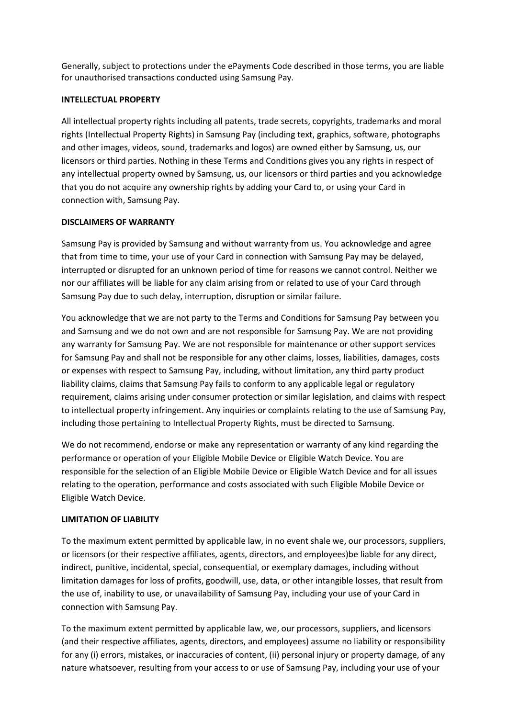Generally, subject to protections under the ePayments Code described in those terms, you are liable for unauthorised transactions conducted using Samsung Pay.

## **INTELLECTUAL PROPERTY**

All intellectual property rights including all patents, trade secrets, copyrights, trademarks and moral rights (Intellectual Property Rights) in Samsung Pay (including text, graphics, software, photographs and other images, videos, sound, trademarks and logos) are owned either by Samsung, us, our licensors or third parties. Nothing in these Terms and Conditions gives you any rights in respect of any intellectual property owned by Samsung, us, our licensors or third parties and you acknowledge that you do not acquire any ownership rights by adding your Card to, or using your Card in connection with, Samsung Pay.

# **DISCLAIMERS OF WARRANTY**

Samsung Pay is provided by Samsung and without warranty from us. You acknowledge and agree that from time to time, your use of your Card in connection with Samsung Pay may be delayed, interrupted or disrupted for an unknown period of time for reasons we cannot control. Neither we nor our affiliates will be liable for any claim arising from or related to use of your Card through Samsung Pay due to such delay, interruption, disruption or similar failure.

You acknowledge that we are not party to the Terms and Conditions for Samsung Pay between you and Samsung and we do not own and are not responsible for Samsung Pay. We are not providing any warranty for Samsung Pay. We are not responsible for maintenance or other support services for Samsung Pay and shall not be responsible for any other claims, losses, liabilities, damages, costs or expenses with respect to Samsung Pay, including, without limitation, any third party product liability claims, claims that Samsung Pay fails to conform to any applicable legal or regulatory requirement, claims arising under consumer protection or similar legislation, and claims with respect to intellectual property infringement. Any inquiries or complaints relating to the use of Samsung Pay, including those pertaining to Intellectual Property Rights, must be directed to Samsung.

We do not recommend, endorse or make any representation or warranty of any kind regarding the performance or operation of your Eligible Mobile Device or Eligible Watch Device. You are responsible for the selection of an Eligible Mobile Device or Eligible Watch Device and for all issues relating to the operation, performance and costs associated with such Eligible Mobile Device or Eligible Watch Device.

# **LIMITATION OF LIABILITY**

To the maximum extent permitted by applicable law, in no event shale we, our processors, suppliers, or licensors (or their respective affiliates, agents, directors, and employees)be liable for any direct, indirect, punitive, incidental, special, consequential, or exemplary damages, including without limitation damages for loss of profits, goodwill, use, data, or other intangible losses, that result from the use of, inability to use, or unavailability of Samsung Pay, including your use of your Card in connection with Samsung Pay.

To the maximum extent permitted by applicable law, we, our processors, suppliers, and licensors (and their respective affiliates, agents, directors, and employees) assume no liability or responsibility for any (i) errors, mistakes, or inaccuracies of content, (ii) personal injury or property damage, of any nature whatsoever, resulting from your access to or use of Samsung Pay, including your use of your